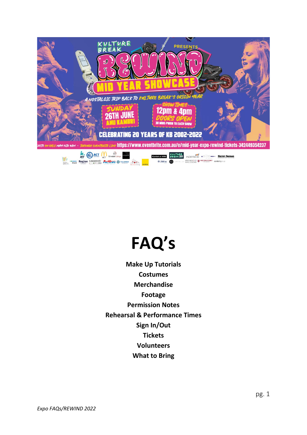

# **FAQ's**

**Make Up Tutorials Costumes Merchandise Footage Permission Notes Rehearsal & Performance Times Sign In/Out Tickets Volunteers What to Bring**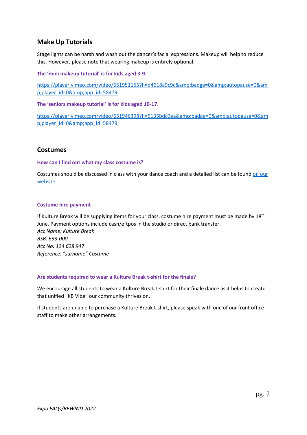## **Make Up Tutorials**

Stage lights can be harsh and wash out the dancer's facial expressions. Makeup will help to reduce this. However, please note that wearing makeup is entirely optional.

**The 'mini makeup tutorial' is for kids aged 3-9.** 

[https://player.vimeo.com/video/651951155?h=d4618a9c9c&badge=0&autopause=0&am](https://player.vimeo.com/video/651951155?h=d4618a9c9c&badge=0&autopause=0&player_id=0&app_id=58479) [p;player\\_id=0&app\\_id=58479](https://player.vimeo.com/video/651951155?h=d4618a9c9c&badge=0&autopause=0&player_id=0&app_id=58479)

**The 'seniors makeup tutorial' is for kids aged 10-17.** 

[https://player.vimeo.com/video/651946398?h=5135bdc0ea&badge=0&autopause=0&am](https://player.vimeo.com/video/651946398?h=5135bdc0ea&badge=0&autopause=0&player_id=0&app_id=58479) [p;player\\_id=0&app\\_id=58479](https://player.vimeo.com/video/651946398?h=5135bdc0ea&badge=0&autopause=0&player_id=0&app_id=58479)

## **Costumes**

#### **How can I find out what my class costume is?**

Costumes should be discussed in class with your dance coach and a detailed list can be found [on our](https://kulturebreak.com/mid-year-rewind)  [website.](https://kulturebreak.com/mid-year-rewind)

#### **Costume hire payment**

If Kulture Break will be supplying items for your class, costume hire payment must be made by 18<sup>th</sup> June. Payment options include cash/eftpos in the studio or direct bank transfer. *Acc Name: Kulture Break BSB: 633-000 Acc No: 124 628 947 Reference: "surname" Costume*

#### **Are students required to wear a Kulture Break t-shirt for the finale?**

We encourage all students to wear a Kulture Break t-shirt for their finale dance as it helps to create that unified "KB Vibe" our community thrives on.

If students are unable to purchase a Kulture Break t-shirt, please speak with one of our front office staff to make other arrangements.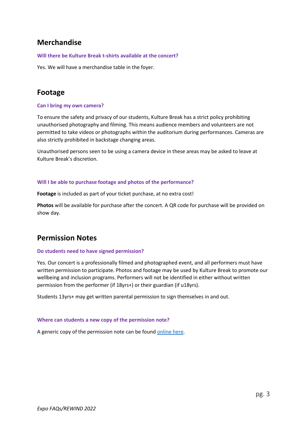# **Merchandise**

#### **Will there be Kulture Break t-shirts available at the concert?**

Yes. We will have a merchandise table in the foyer.

# **Footage**

#### **Can I bring my own camera?**

To ensure the safety and privacy of our students, Kulture Break has a strict policy prohibiting unauthorised photography and filming. This means audience members and volunteers are not permitted to take videos or photographs within the auditorium during performances. Cameras are also strictly prohibited in backstage changing areas.

Unauthorised persons seen to be using a camera device in these areas may be asked to leave at Kulture Break's discretion.

#### **Will I be able to purchase footage and photos of the performance?**

**Footage** is included as part of your ticket purchase, at no extra cost!

**Photos** will be available for purchase after the concert. A QR code for purchase will be provided on show day.

# **Permission Notes**

#### **Do students need to have signed permission?**

Yes. Our concert is a professionally filmed and photographed event, and all performers must have written permission to participate. Photos and footage may be used by Kulture Break to promote our wellbeing and inclusion programs. Performers will not be identified in either without written permission from the performer (if 18yrs+) or their guardian (if u18yrs).

Students 13yrs+ may get written parental permission to sign themselves in and out.

#### **Where can students a new copy of the permission note?**

A generic copy of the permission note can be foun[d online here.](https://app.smartsheet.com/b/form/a619e0d41820477799a0f71ae4c81cf4)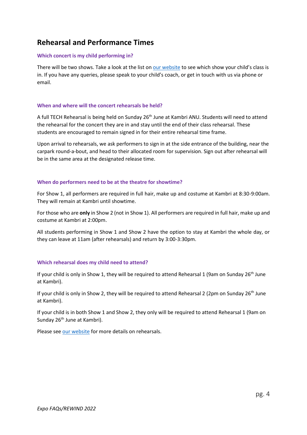# **Rehearsal and Performance Times**

#### **Which concert is my child performing in?**

There will be two shows. Take a look at the list o[n our website](https://kulturebreak.com/mid-year-rewind) to see which show your child's class is in. If you have any queries, please speak to your child's coach, or get in touch with us via phone or email.

#### **When and where will the concert rehearsals be held?**

A full TECH Rehearsal is being held on Sunday 26<sup>th</sup> June at Kambri ANU. Students will need to attend the rehearsal for the concert they are in and stay until the end of their class rehearsal. These students are encouraged to remain signed in for their entire rehearsal time frame.

Upon arrival to rehearsals, we ask performers to sign in at the side entrance of the building, near the carpark round-a-bout, and head to their allocated room for supervision. Sign out after rehearsal will be in the same area at the designated release time.

#### **When do performers need to be at the theatre for showtime?**

For Show 1, all performers are required in full hair, make up and costume at Kambri at 8:30-9:00am. They will remain at Kambri until showtime.

For those who are **only** in Show 2 (not in Show 1). All performers are required in full hair, make up and costume at Kambri at 2:00pm.

All students performing in Show 1 and Show 2 have the option to stay at Kambri the whole day, or they can leave at 11am (after rehearsals) and return by 3:00-3:30pm.

## **Which rehearsal does my child need to attend?**

If your child is only in Show 1, they will be required to attend Rehearsal 1 (9am on Sunday 26<sup>th</sup> June at Kambri).

If your child is only in Show 2, they will be required to attend Rehearsal 2 (2pm on Sunday 26<sup>th</sup> June at Kambri).

If your child is in both Show 1 and Show 2, they only will be required to attend Rehearsal 1 (9am on Sunday 26<sup>th</sup> June at Kambri).

Please see [our website](http://www.kulturebreak.com/mid-year-rewind) for more details on rehearsals.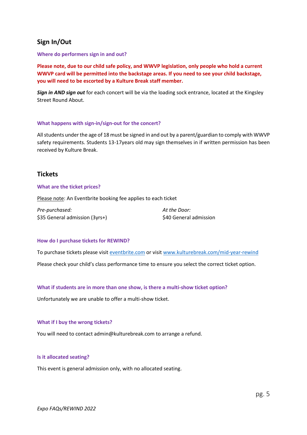## **Sign In/Out**

**Where do performers sign in and out?**

**Please note, due to our child safe policy, and WWVP legislation, only people who hold a current WWVP card will be permitted into the backstage areas. If you need to see your child backstage, you will need to be escorted by a Kulture Break staff member.** 

*Sign in AND sign out* for each concert will be via the loading sock entrance, located at the Kingsley Street Round About.

#### **What happens with sign-in/sign-out for the concert?**

All students under the age of 18 must be signed in and out by a parent/guardian to comply with WWVP safety requirements. Students 13-17years old may sign themselves in if written permission has been received by Kulture Break.

## **Tickets**

#### **What are the ticket prices?**

Please note: An Eventbrite booking fee applies to each ticket

| Pre-purchased:                 | At the Door:           |
|--------------------------------|------------------------|
| \$35 General admission (3yrs+) | \$40 General admission |

#### **How do I purchase tickets for REWIND?**

To purchase tickets please visi[t eventbrite.com](https://www.eventbrite.com.au/e/mid-year-expo-rewind-tickets-342449354237) or visi[t www.kulturebreak.com/mid-year-rewind](http://www.kulturebreak.com/mid-year-rewind)

Please check your child's class performance time to ensure you select the correct ticket option.

#### **What if students are in more than one show, is there a multi-show ticket option?**

Unfortunately we are unable to offer a multi-show ticket.

#### **What if I buy the wrong tickets?**

You will need to contact admin@kulturebreak.com to arrange a refund.

#### **Is it allocated seating?**

This event is general admission only, with no allocated seating.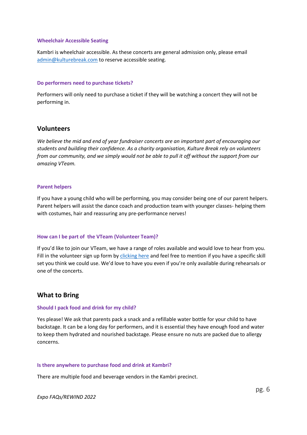#### **Wheelchair Accessible Seating**

Kambri is wheelchair accessible. As these concerts are general admission only, please email [admin@kulturebreak.com](mailto:admin@kulturebreak.com) to reserve accessible seating.

#### **Do performers need to purchase tickets?**

Performers will only need to purchase a ticket if they will be watching a concert they will not be performing in.

## **Volunteers**

*We believe the mid and end of year fundraiser concerts are an important part of encouraging our students and building their confidence. As a charity organisation, Kulture Break rely on volunteers from our community, and we simply would not be able to pull it off without the support from our amazing VTeam.*

#### **Parent helpers**

If you have a young child who will be performing, you may consider being one of our parent helpers. Parent helpers will assist the dance coach and production team with younger classes- helping them with costumes, hair and reassuring any pre-performance nerves!

#### **How can I be part of the VTeam (Volunteer Team)?**

If you'd like to join our VTeam, we have a range of roles available and would love to hear from you. Fill in the volunteer sign up form by [clicking here](https://app.smartsheet.com/b/form/e2f5313bd3b14584b592006c9d0ba79d) and feel free to mention if you have a specific skill set you think we could use. We'd love to have you even if you're only available during rehearsals or one of the concerts.

## **What to Bring**

#### **Should I pack food and drink for my child?**

Yes please! We ask that parents pack a snack and a refillable water bottle for your child to have backstage. It can be a long day for performers, and it is essential they have enough food and water to keep them hydrated and nourished backstage. Please ensure no nuts are packed due to allergy concerns.

#### **Is there anywhere to purchase food and drink at Kambri?**

There are multiple food and beverage vendors in the Kambri precinct.